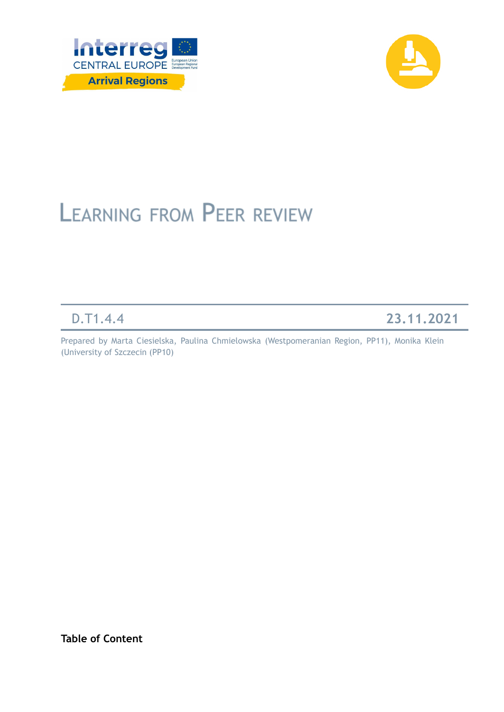



# **LEARNING FROM PEER REVIEW**

D.T1.4.4 **23.11.2021**

Prepared by Marta Ciesielska, Paulina Chmielowska (Westpomeranian Region, PP11), Monika Klein (University of Szczecin (PP10)

**Table of Content**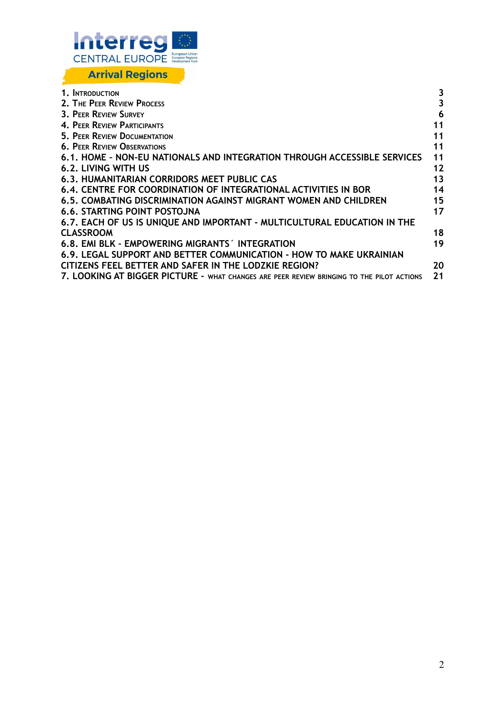

| 1. INTRODUCTION                                                                           | 3  |
|-------------------------------------------------------------------------------------------|----|
| 2. THE PEER REVIEW PROCESS                                                                | 3  |
| 3. PEER REVIEW SURVEY                                                                     | 6  |
| 4. PEER REVIEW PARTICIPANTS                                                               | 11 |
| <b>5. PEER REVIEW DOCUMENTATION</b>                                                       | 11 |
| <b>6. PEER REVIEW OBSERVATIONS</b>                                                        | 11 |
| 6.1. HOME - NON-EU NATIONALS AND INTEGRATION THROUGH ACCESSIBLE SERVICES                  | 11 |
| <b>6.2. LIVING WITH US</b>                                                                | 12 |
| 6.3. HUMANITARIAN CORRIDORS MEET PUBLIC CAS                                               | 13 |
| 6.4. CENTRE FOR COORDINATION OF INTEGRATIONAL ACTIVITIES IN BOR                           | 14 |
| 6.5. COMBATING DISCRIMINATION AGAINST MIGRANT WOMEN AND CHILDREN                          | 15 |
| 6.6. STARTING POINT POSTOJNA                                                              | 17 |
| 6.7. EACH OF US IS UNIQUE AND IMPORTANT - MULTICULTURAL EDUCATION IN THE                  |    |
| <b>CLASSROOM</b>                                                                          | 18 |
| 6.8. EMI BLK - EMPOWERING MIGRANTS INTEGRATION                                            | 19 |
| 6.9. LEGAL SUPPORT AND BETTER COMMUNICATION - HOW TO MAKE UKRAINIAN                       |    |
| CITIZENS FEEL BETTER AND SAFER IN THE LODZKIE REGION?                                     | 20 |
| 7. LOOKING AT BIGGER PICTURE - WHAT CHANGES ARE PEER REVIEW BRINGING TO THE PILOT ACTIONS | 21 |
|                                                                                           |    |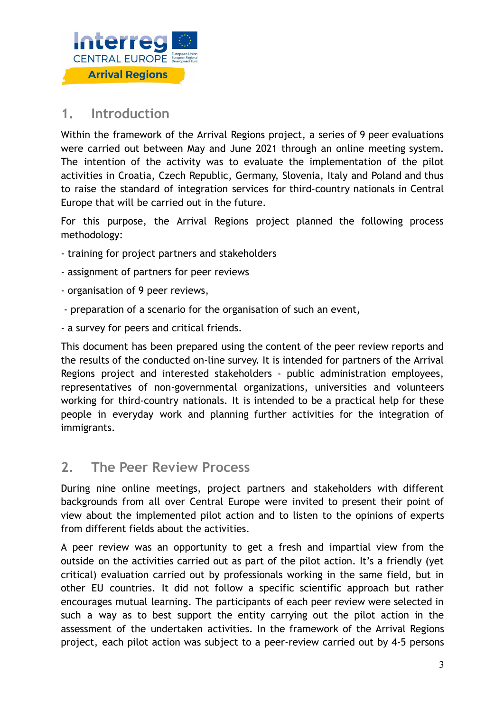

### <span id="page-2-0"></span>**1. Introduction**

Within the framework of the Arrival Regions project, a series of 9 peer evaluations were carried out between May and June 2021 through an online meeting system. The intention of the activity was to evaluate the implementation of the pilot activities in Croatia, Czech Republic, Germany, Slovenia, Italy and Poland and thus to raise the standard of integration services for third-country nationals in Central Europe that will be carried out in the future.

For this purpose, the Arrival Regions project planned the following process methodology:

- training for project partners and stakeholders
- assignment of partners for peer reviews
- organisation of 9 peer reviews,
- preparation of a scenario for the organisation of such an event,
- a survey for peers and critical friends.

This document has been prepared using the content of the peer review reports and the results of the conducted on-line survey. It is intended for partners of the Arrival Regions project and interested stakeholders - public administration employees, representatives of non-governmental organizations, universities and volunteers working for third-country nationals. It is intended to be a practical help for these people in everyday work and planning further activities for the integration of immigrants.

### <span id="page-2-1"></span>**2. The Peer Review Process**

During nine online meetings, project partners and stakeholders with different backgrounds from all over Central Europe were invited to present their point of view about the implemented pilot action and to listen to the opinions of experts from different fields about the activities.

A peer review was an opportunity to get a fresh and impartial view from the outside on the activities carried out as part of the pilot action. It's a friendly (yet critical) evaluation carried out by professionals working in the same field, but in other EU countries. It did not follow a specific scientific approach but rather encourages mutual learning. The participants of each peer review were selected in such a way as to best support the entity carrying out the pilot action in the assessment of the undertaken activities. In the framework of the Arrival Regions project, each pilot action was subject to a peer-review carried out by 4-5 persons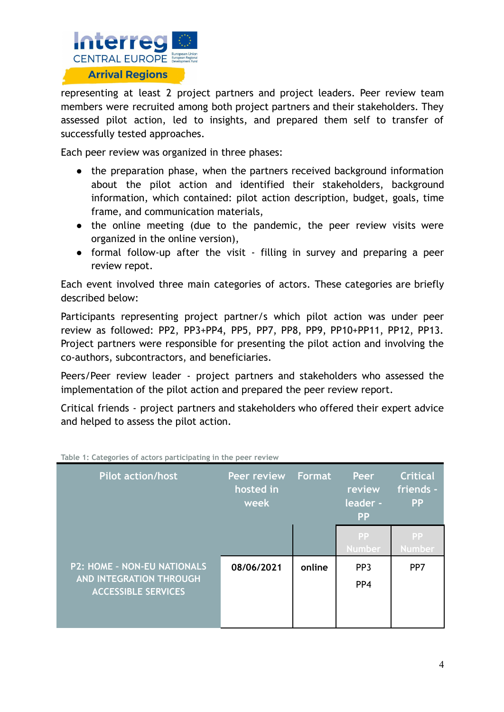

representing at least 2 project partners and project leaders. Peer review team members were recruited among both project partners and their stakeholders. They assessed pilot action, led to insights, and prepared them self to transfer of successfully tested approaches.

Each peer review was organized in three phases:

- the preparation phase, when the partners received background information about the pilot action and identified their stakeholders, background information, which contained: pilot action description, budget, goals, time frame, and communication materials,
- the online meeting (due to the pandemic, the peer review visits were organized in the online version),
- formal follow-up after the visit filling in survey and preparing a peer review repot.

Each event involved three main categories of actors. These categories are briefly described below:

Participants representing project partner/s which pilot action was under peer review as followed: PP2, PP3+PP4, PP5, PP7, PP8, PP9, PP10+PP11, PP12, PP13. Project partners were responsible for presenting the pilot action and involving the co-authors, subcontractors, and beneficiaries.

Peers/Peer review leader - project partners and stakeholders who assessed the implementation of the pilot action and prepared the peer review report.

Critical friends - project partners and stakeholders who offered their expert advice and helped to assess the pilot action.

| Pilot action/host                                                                    | Peer review<br>hosted in<br>week | <b>Format</b> | Peer<br>review<br>leader -<br><b>PP</b> | <b>Critical</b><br>friends -<br><b>PP</b> |
|--------------------------------------------------------------------------------------|----------------------------------|---------------|-----------------------------------------|-------------------------------------------|
|                                                                                      |                                  |               | <b>PP</b><br><b>Number</b>              | <b>PP</b><br><b>Number</b>                |
| P2: HOME - NON-EU NATIONALS<br>AND INTEGRATION THROUGH<br><b>ACCESSIBLE SERVICES</b> | 08/06/2021                       | online        | PP <sub>3</sub><br>PP <sub>4</sub>      | PP7                                       |

**Table 1: Categories of actors participating in the peer review**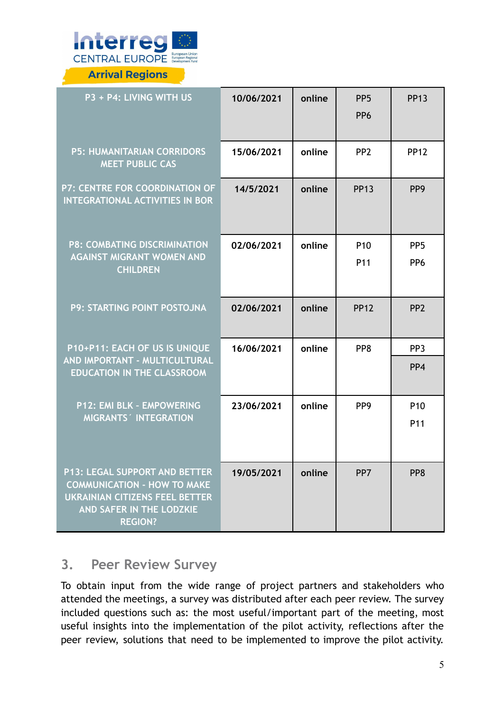

**Arrival Regions** 

| P3 + P4: LIVING WITH US                                                                                                                                           | 10/06/2021 | online | PP <sub>5</sub><br>PP <sub>6</sub> | <b>PP13</b>     |
|-------------------------------------------------------------------------------------------------------------------------------------------------------------------|------------|--------|------------------------------------|-----------------|
| <b>P5: HUMANITARIAN CORRIDORS</b><br><b>MEET PUBLIC CAS</b>                                                                                                       | 15/06/2021 | online | PP <sub>2</sub>                    | <b>PP12</b>     |
| P7: CENTRE FOR COORDINATION OF<br><b>INTEGRATIONAL ACTIVITIES IN BOR</b>                                                                                          | 14/5/2021  | online | <b>PP13</b>                        | PP <sub>9</sub> |
| <b>P8: COMBATING DISCRIMINATION</b>                                                                                                                               | 02/06/2021 | online | P <sub>10</sub>                    | PP <sub>5</sub> |
| <b>AGAINST MIGRANT WOMEN AND</b><br><b>CHILDREN</b>                                                                                                               |            |        | P <sub>11</sub>                    | PP <sub>6</sub> |
| P9: STARTING POINT POSTOJNA                                                                                                                                       | 02/06/2021 | online | <b>PP12</b>                        | PP <sub>2</sub> |
| P10+P11: EACH OF US IS UNIQUE                                                                                                                                     | 16/06/2021 | online | PP8                                | PP <sub>3</sub> |
| AND IMPORTANT - MULTICULTURAL<br><b>EDUCATION IN THE CLASSROOM</b>                                                                                                |            |        |                                    | PP4             |
| P12: EMI BLK - EMPOWERING                                                                                                                                         | 23/06/2021 | online | PP <sub>9</sub>                    | P <sub>10</sub> |
| MIGRANTS' INTEGRATION                                                                                                                                             |            |        |                                    | P <sub>11</sub> |
| <b>P13: LEGAL SUPPORT AND BETTER</b><br><b>COMMUNICATION - HOW TO MAKE</b><br><b>UKRAINIAN CITIZENS FEEL BETTER</b><br>AND SAFER IN THE LODZKIE<br><b>REGION?</b> | 19/05/2021 | online | PP7                                | PP8             |

### <span id="page-4-0"></span>**3. Peer Review Survey**

To obtain input from the wide range of project partners and stakeholders who attended the meetings, a survey was distributed after each peer review. The survey included questions such as: the most useful/important part of the meeting, most useful insights into the implementation of the pilot activity, reflections after the peer review, solutions that need to be implemented to improve the pilot activity.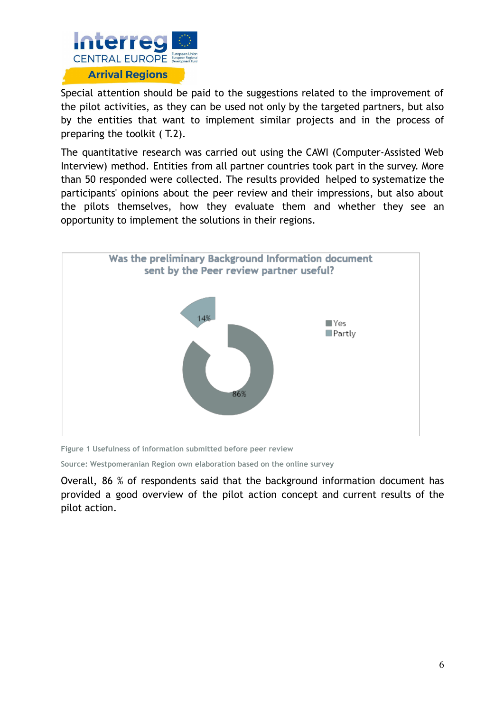

Special attention should be paid to the suggestions related to the improvement of the pilot activities, as they can be used not only by the targeted partners, but also by the entities that want to implement similar projects and in the process of preparing the toolkit ( T.2).

The quantitative research was carried out using the CAWI (Computer-Assisted Web Interview) method. Entities from all partner countries took part in the survey. More than 50 responded were collected. The results provided helped to systematize the participants' opinions about the peer review and their impressions, but also about the pilots themselves, how they evaluate them and whether they see an opportunity to implement the solutions in their regions.



**Figure 1 Usefulness of information submitted before peer review**

**Source: Westpomeranian Region own elaboration based on the online survey**

Overall, 86 % of respondents said that the background information document has provided a good overview of the pilot action concept and current results of the pilot action.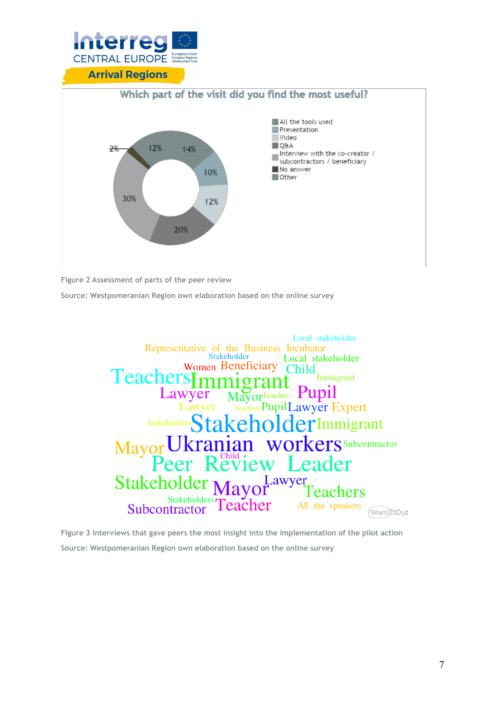



**Figure 2 Assessment of parts of the peer review**

**Source: Westpomeranian Region own elaboration based on the online survey**



**Figure 3 Interviews that gave peers the most insight into the implementation of the pilot action Source: Westpomeranian Region own elaboration based on the online survey**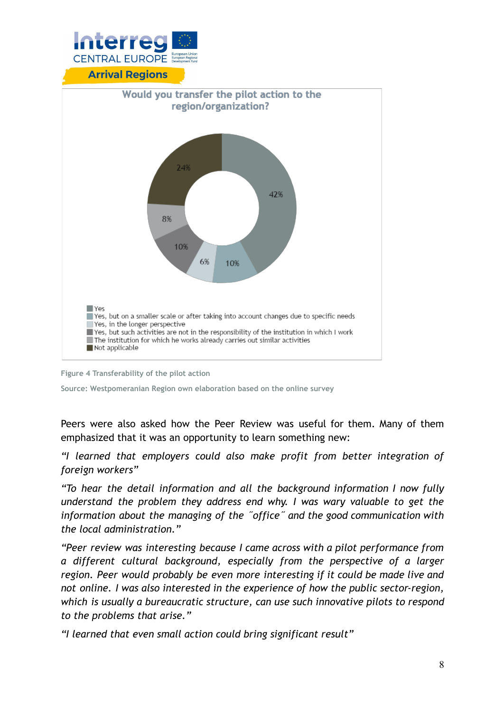

**Arrival Regions** 





**Source: Westpomeranian Region own elaboration based on the online survey**

Peers were also asked how the Peer Review was useful for them. Many of them emphasized that it was an opportunity to learn something new:

*"I learned that employers could also make profit from better integration of foreign workers"*

*"To hear the detail information and all the background information I now fully understand the problem they address end why. I was wary valuable to get the information about the managing of the ˝office˝ and the good communication with the local administration."*

*"Peer review was interesting because I came across with a pilot performance from a different cultural background, especially from the perspective of a larger region. Peer would probably be even more interesting if it could be made live and not online. I was also interested in the experience of how the public sector-region, which is usually a bureaucratic structure, can use such innovative pilots to respond to the problems that arise."*

*"I learned that even small action could bring significant result"*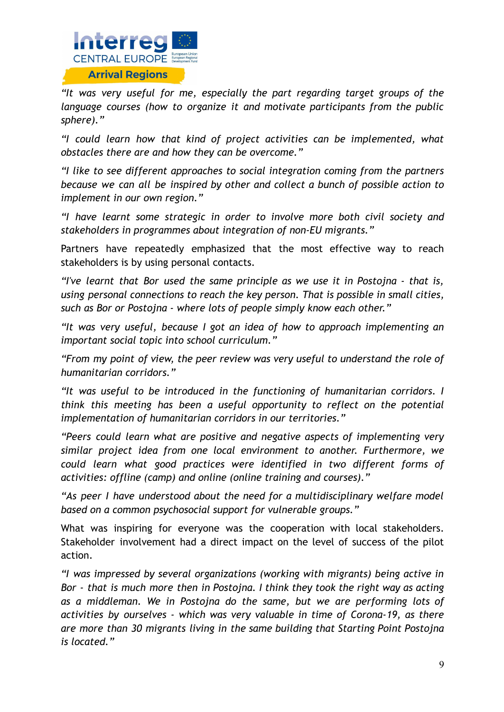

*"It was very useful for me, especially the part regarding target groups of the language courses (how to organize it and motivate participants from the public sphere)."*

*"I could learn how that kind of project activities can be implemented, what obstacles there are and how they can be overcome."*

*"I like to see different approaches to social integration coming from the partners because we can all be inspired by other and collect a bunch of possible action to implement in our own region."*

*"I have learnt some strategic in order to involve more both civil society and stakeholders in programmes about integration of non-EU migrants."*

Partners have repeatedly emphasized that the most effective way to reach stakeholders is by using personal contacts.

*"I've learnt that Bor used the same principle as we use it in Postojna - that is, using personal connections to reach the key person. That is possible in small cities, such as Bor or Postojna - where lots of people simply know each other."*

*"It was very useful, because I got an idea of how to approach implementing an important social topic into school curriculum."*

*"From my point of view, the peer review was very useful to understand the role of humanitarian corridors."*

*"It was useful to be introduced in the functioning of humanitarian corridors. I think this meeting has been a useful opportunity to reflect on the potential implementation of humanitarian corridors in our territories."*

*"Peers could learn what are positive and negative aspects of implementing very similar project idea from one local environment to another. Furthermore, we could learn what good practices were identified in two different forms of activities: offline (camp) and online (online training and courses)."*

*"As peer I have understood about the need for a multidisciplinary welfare model based on a common psychosocial support for vulnerable groups."*

What was inspiring for everyone was the cooperation with local stakeholders. Stakeholder involvement had a direct impact on the level of success of the pilot action.

*"I was impressed by several organizations (working with migrants) being active in Bor - that is much more then in Postojna. I think they took the right way as acting as a middleman. We in Postojna do the same, but we are performing lots of activities by ourselves - which was very valuable in time of Corona-19, as there are more than 30 migrants living in the same building that Starting Point Postojna is located."*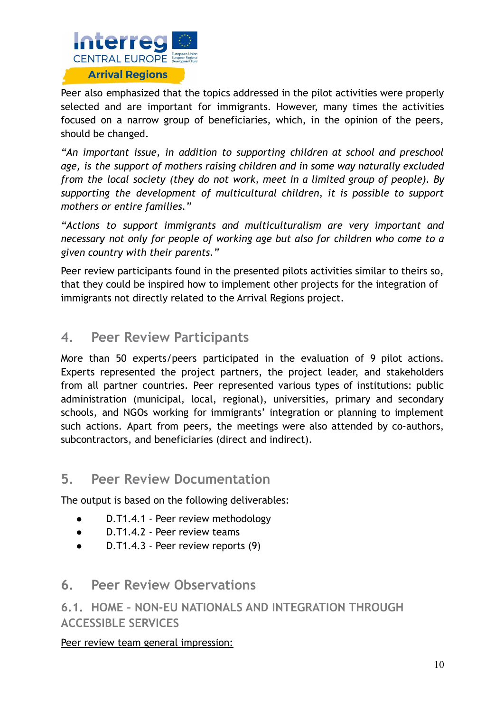

Peer also emphasized that the topics addressed in the pilot activities were properly selected and are important for immigrants. However, many times the activities focused on a narrow group of beneficiaries, which, in the opinion of the peers, should be changed.

*"An important issue, in addition to supporting children at school and preschool age, is the support of mothers raising children and in some way naturally excluded from the local society (they do not work, meet in a limited group of people). By supporting the development of multicultural children, it is possible to support mothers or entire families."*

*"Actions to support immigrants and multiculturalism are very important and necessary not only for people of working age but also for children who come to a given country with their parents."*

Peer review participants found in the presented pilots activities similar to theirs so, that they could be inspired how to implement other projects for the integration of immigrants not directly related to the Arrival Regions project.

### <span id="page-9-0"></span>**4. Peer Review Participants**

More than 50 experts/peers participated in the evaluation of 9 pilot actions. Experts represented the project partners, the project leader, and stakeholders from all partner countries. Peer represented various types of institutions: public administration (municipal, local, regional), universities, primary and secondary schools, and NGOs working for immigrants' integration or planning to implement such actions. Apart from peers, the meetings were also attended by co-authors, subcontractors, and beneficiaries (direct and indirect).

### <span id="page-9-1"></span>**5. Peer Review Documentation**

The output is based on the following deliverables:

- D.T1.4.1 Peer review methodology
- D.T1.4.2 Peer review teams
- D.T1.4.3 Peer review reports (9)

### <span id="page-9-2"></span>**6. Peer Review Observations**

### <span id="page-9-3"></span>**6.1. HOME – NON-EU NATIONALS AND INTEGRATION THROUGH ACCESSIBLE SERVICES**

#### Peer review team general impression: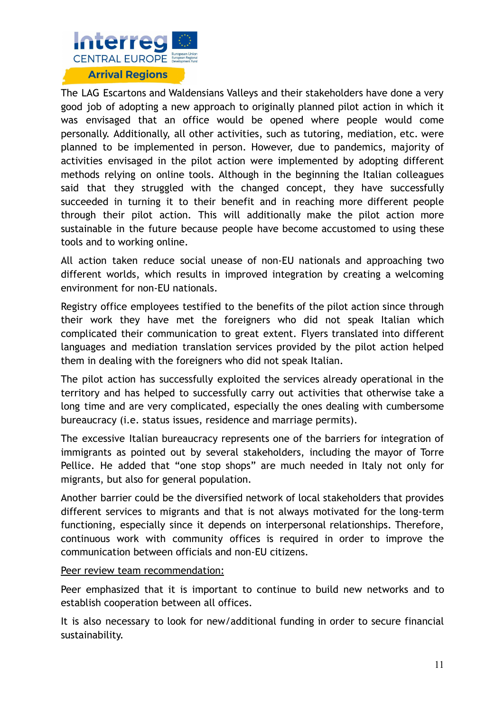

The LAG Escartons and Waldensians Valleys and their stakeholders have done a very good job of adopting a new approach to originally planned pilot action in which it was envisaged that an office would be opened where people would come personally. Additionally, all other activities, such as tutoring, mediation, etc. were planned to be implemented in person. However, due to pandemics, majority of activities envisaged in the pilot action were implemented by adopting different methods relying on online tools. Although in the beginning the Italian colleagues said that they struggled with the changed concept, they have successfully succeeded in turning it to their benefit and in reaching more different people through their pilot action. This will additionally make the pilot action more sustainable in the future because people have become accustomed to using these tools and to working online.

All action taken reduce social unease of non-EU nationals and approaching two different worlds, which results in improved integration by creating a welcoming environment for non-EU nationals.

Registry office employees testified to the benefits of the pilot action since through their work they have met the foreigners who did not speak Italian which complicated their communication to great extent. Flyers translated into different languages and mediation translation services provided by the pilot action helped them in dealing with the foreigners who did not speak Italian.

The pilot action has successfully exploited the services already operational in the territory and has helped to successfully carry out activities that otherwise take a long time and are very complicated, especially the ones dealing with cumbersome bureaucracy (i.e. status issues, residence and marriage permits).

The excessive Italian bureaucracy represents one of the barriers for integration of immigrants as pointed out by several stakeholders, including the mayor of Torre Pellice. He added that "one stop shops" are much needed in Italy not only for migrants, but also for general population.

Another barrier could be the diversified network of local stakeholders that provides different services to migrants and that is not always motivated for the long-term functioning, especially since it depends on interpersonal relationships. Therefore, continuous work with community offices is required in order to improve the communication between officials and non-EU citizens.

#### Peer review team recommendation:

Peer emphasized that it is important to continue to build new networks and to establish cooperation between all offices.

It is also necessary to look for new/additional funding in order to secure financial sustainability.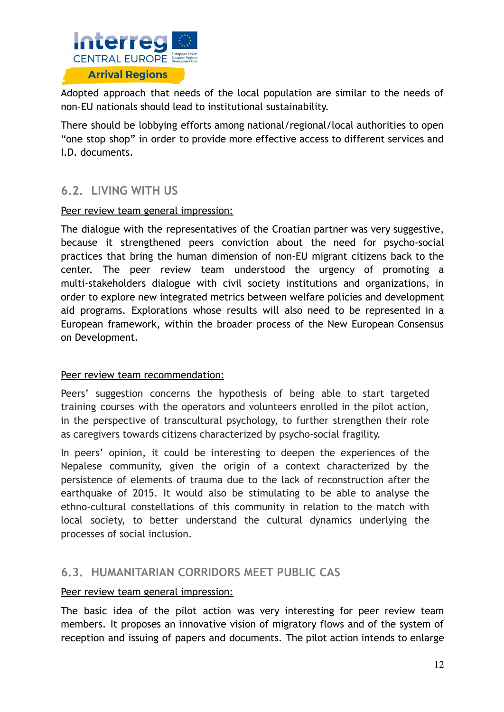

Adopted approach that needs of the local population are similar to the needs of non-EU nationals should lead to institutional sustainability.

There should be lobbying efforts among national/regional/local authorities to open "one stop shop" in order to provide more effective access to different services and I.D. documents.

### <span id="page-11-0"></span>**6.2. LIVING WITH US**

#### Peer review team general impression:

The dialogue with the representatives of the Croatian partner was very suggestive, because it strengthened peers conviction about the need for psycho-social practices that bring the human dimension of non-EU migrant citizens back to the center. The peer review team understood the urgency of promoting a multi-stakeholders dialogue with civil society institutions and organizations, in order to explore new integrated metrics between welfare policies and development aid programs. Explorations whose results will also need to be represented in a European framework, within the broader process of the New European Consensus on Development.

#### Peer review team recommendation:

Peers' suggestion concerns the hypothesis of being able to start targeted training courses with the operators and volunteers enrolled in the pilot action, in the perspective of transcultural psychology, to further strengthen their role as caregivers towards citizens characterized by psycho-social fragility.

In peers' opinion, it could be interesting to deepen the experiences of the Nepalese community, given the origin of a context characterized by the persistence of elements of trauma due to the lack of reconstruction after the earthquake of 2015. It would also be stimulating to be able to analyse the ethno-cultural constellations of this community in relation to the match with local society, to better understand the cultural dynamics underlying the processes of social inclusion.

### <span id="page-11-1"></span>**6.3. HUMANITARIAN CORRIDORS MEET PUBLIC CAS**

#### Peer review team general impression:

The basic idea of the pilot action was very interesting for peer review team members. It proposes an innovative vision of migratory flows and of the system of reception and issuing of papers and documents. The pilot action intends to enlarge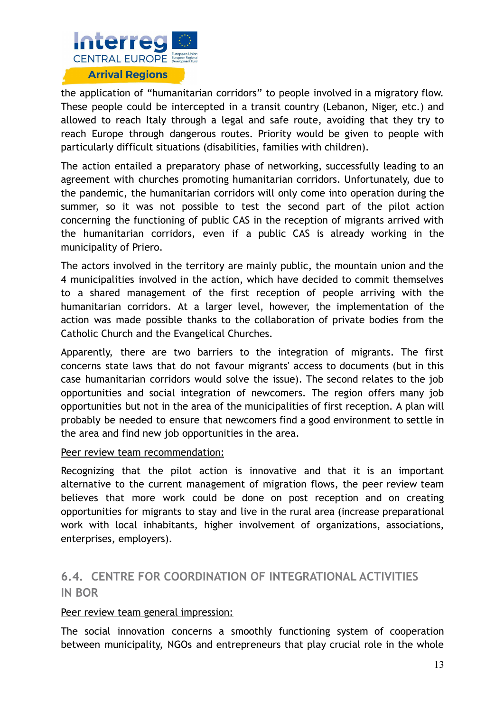

the application of "humanitarian corridors" to people involved in a migratory flow. These people could be intercepted in a transit country (Lebanon, Niger, etc.) and allowed to reach Italy through a legal and safe route, avoiding that they try to reach Europe through dangerous routes. Priority would be given to people with particularly difficult situations (disabilities, families with children).

The action entailed a preparatory phase of networking, successfully leading to an agreement with churches promoting humanitarian corridors. Unfortunately, due to the pandemic, the humanitarian corridors will only come into operation during the summer, so it was not possible to test the second part of the pilot action concerning the functioning of public CAS in the reception of migrants arrived with the humanitarian corridors, even if a public CAS is already working in the municipality of Priero.

The actors involved in the territory are mainly public, the mountain union and the 4 municipalities involved in the action, which have decided to commit themselves to a shared management of the first reception of people arriving with the humanitarian corridors. At a larger level, however, the implementation of the action was made possible thanks to the collaboration of private bodies from the Catholic Church and the Evangelical Churches.

Apparently, there are two barriers to the integration of migrants. The first concerns state laws that do not favour migrants' access to documents (but in this case humanitarian corridors would solve the issue). The second relates to the job opportunities and social integration of newcomers. The region offers many job opportunities but not in the area of the municipalities of first reception. A plan will probably be needed to ensure that newcomers find a good environment to settle in the area and find new job opportunities in the area.

#### Peer review team recommendation:

Recognizing that the pilot action is innovative and that it is an important alternative to the current management of migration flows, the peer review team believes that more work could be done on post reception and on creating opportunities for migrants to stay and live in the rural area (increase preparational work with local inhabitants, higher involvement of organizations, associations, enterprises, employers).

### <span id="page-12-0"></span>**6.4. CENTRE FOR COORDINATION OF INTEGRATIONAL ACTIVITIES IN BOR**

#### Peer review team general impression:

The social innovation concerns a smoothly functioning system of cooperation between municipality, NGOs and entrepreneurs that play crucial role in the whole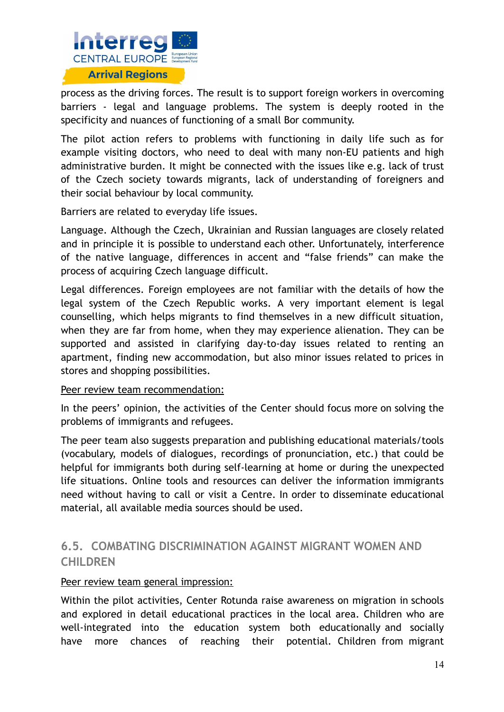

process as the driving forces. The result is to support foreign workers in overcoming barriers - legal and language problems. The system is deeply rooted in the specificity and nuances of functioning of a small Bor community.

The pilot action refers to problems with functioning in daily life such as for example visiting doctors, who need to deal with many non-EU patients and high administrative burden. It might be connected with the issues like e.g. lack of trust of the Czech society towards migrants, lack of understanding of foreigners and their social behaviour by local community.

Barriers are related to everyday life issues.

Language. Although the Czech, Ukrainian and Russian languages are closely related and in principle it is possible to understand each other. Unfortunately, interference of the native language, differences in accent and "false friends" can make the process of acquiring Czech language difficult.

Legal differences. Foreign employees are not familiar with the details of how the legal system of the Czech Republic works. A very important element is legal counselling, which helps migrants to find themselves in a new difficult situation, when they are far from home, when they may experience alienation. They can be supported and assisted in clarifying day-to-day issues related to renting an apartment, finding new accommodation, but also minor issues related to prices in stores and shopping possibilities.

#### Peer review team recommendation:

In the peers' opinion, the activities of the Center should focus more on solving the problems of immigrants and refugees.

The peer team also suggests preparation and publishing educational materials/tools (vocabulary, models of dialogues, recordings of pronunciation, etc.) that could be helpful for immigrants both during self-learning at home or during the unexpected life situations. Online tools and resources can deliver the information immigrants need without having to call or visit a Centre. In order to disseminate educational material, all available media sources should be used.

### <span id="page-13-0"></span>**6.5. COMBATING DISCRIMINATION AGAINST MIGRANT WOMEN AND CHILDREN**

#### Peer review team general impression:

Within the pilot activities, Center Rotunda raise awareness on migration in schools and explored in detail educational practices in the local area. Children who are well-integrated into the education system both educationally and socially have more chances of reaching their potential. Children from migrant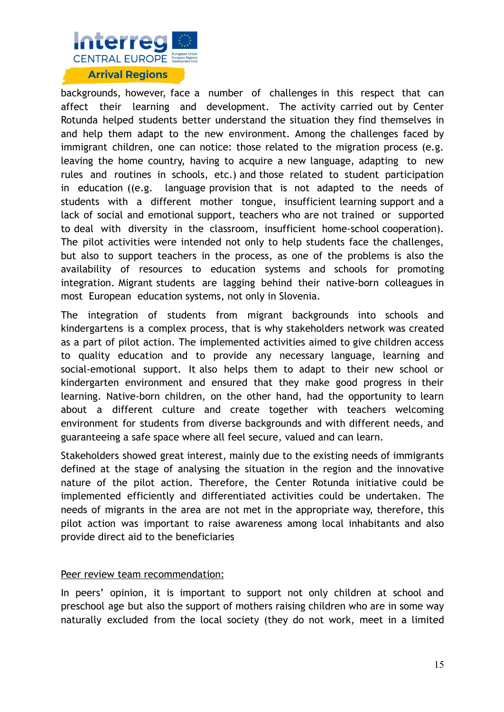

backgrounds, however, face a number of challenges in this respect that can affect their learning and development. The activity carried out by Center Rotunda helped students better understand the situation they find themselves in and help them adapt to the new environment. Among the challenges faced by immigrant children, one can notice: those related to the migration process (e.g. leaving the home country, having to acquire a new language, adapting to new rules and routines in schools, etc.) and those related to student participation in education ((e.g. language provision that is not adapted to the needs of students with a different mother tongue, insufficient learning support and a lack of social and emotional support, teachers who are not trained or supported to deal with diversity in the classroom, insufficient home-school cooperation). The pilot activities were intended not only to help students face the challenges, but also to support teachers in the process, as one of the problems is also the availability of resources to education systems and schools for promoting integration. Migrant students are lagging behind their native-born colleagues in most European education systems, not only in Slovenia.

The integration of students from migrant backgrounds into schools and kindergartens is a complex process, that is why stakeholders network was created as a part of pilot action. The implemented activities aimed to give children access to quality education and to provide any necessary language, learning and social-emotional support. It also helps them to adapt to their new school or kindergarten environment and ensured that they make good progress in their learning. Native-born children, on the other hand, had the opportunity to learn about a different culture and create together with teachers welcoming environment for students from diverse backgrounds and with different needs, and guaranteeing a safe space where all feel secure, valued and can learn.

Stakeholders showed great interest, mainly due to the existing needs of immigrants defined at the stage of analysing the situation in the region and the innovative nature of the pilot action. Therefore, the Center Rotunda initiative could be implemented efficiently and differentiated activities could be undertaken. The needs of migrants in the area are not met in the appropriate way, therefore, this pilot action was important to raise awareness among local inhabitants and also provide direct aid to the beneficiaries

#### Peer review team recommendation:

In peers' opinion, it is important to support not only children at school and preschool age but also the support of mothers raising children who are in some way naturally excluded from the local society (they do not work, meet in a limited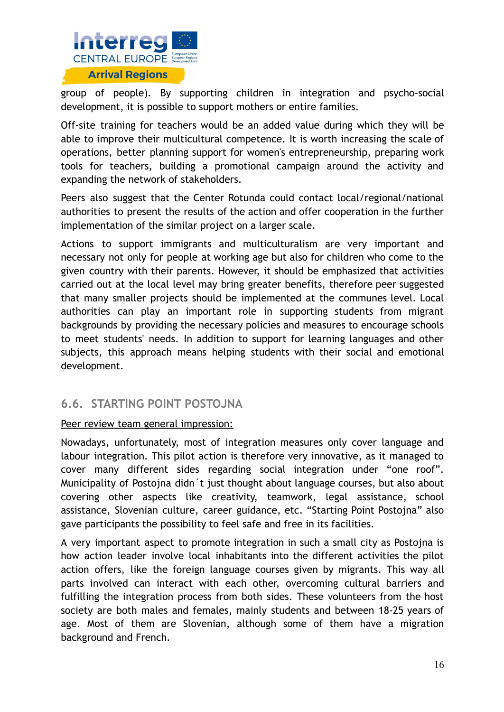

group of people). By supporting children in integration and psycho-social development, it is possible to support mothers or entire families.

Off-site training for teachers would be an added value during which they will be able to improve their multicultural competence. It is worth increasing the scale of operations, better planning support for women's entrepreneurship, preparing work tools for teachers, building a promotional campaign around the activity and expanding the network of stakeholders.

Peers also suggest that the Center Rotunda could contact local/regional/national authorities to present the results of the action and offer cooperation in the further implementation of the similar project on a larger scale.

Actions to support immigrants and multiculturalism are very important and necessary not only for people at working age but also for children who come to the given country with their parents. However, it should be emphasized that activities carried out at the local level may bring greater benefits, therefore peer suggested that many smaller projects should be implemented at the communes level. Local authorities can play an important role in supporting students from migrant backgrounds by providing the necessary policies and measures to encourage schools to meet students' needs. In addition to support for learning languages and other subjects, this approach means helping students with their social and emotional development.

### <span id="page-15-0"></span>**6.6. STARTING POINT POSTOJNA**

#### Peer review team general impression:

Nowadays, unfortunately, most of integration measures only cover language and labour integration. This pilot action is therefore very innovative, as it managed to cover many different sides regarding social integration under "one roof". Municipality of Postojna didn´t just thought about language courses, but also about covering other aspects like creativity, teamwork, legal assistance, school assistance, Slovenian culture, career guidance, etc. "Starting Point Postojna" also gave participants the possibility to feel safe and free in its facilities.

A very important aspect to promote integration in such a small city as Postojna is how action leader involve local inhabitants into the different activities the pilot action offers, like the foreign language courses given by migrants. This way all parts involved can interact with each other, overcoming cultural barriers and fulfilling the integration process from both sides. These volunteers from the host society are both males and females, mainly students and between 18-25 years of age. Most of them are Slovenian, although some of them have a migration background and French.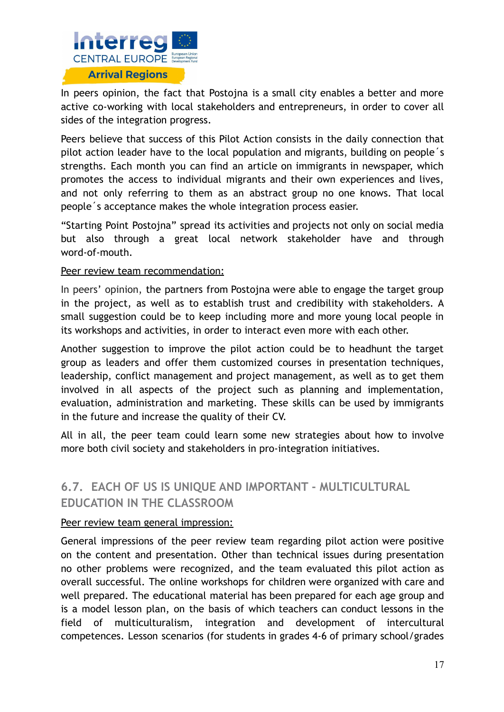

In peers opinion, the fact that Postojna is a small city enables a better and more active co-working with local stakeholders and entrepreneurs, in order to cover all sides of the integration progress.

Peers believe that success of this Pilot Action consists in the daily connection that pilot action leader have to the local population and migrants, building on people´s strengths. Each month you can find an article on immigrants in newspaper, which promotes the access to individual migrants and their own experiences and lives, and not only referring to them as an abstract group no one knows. That local people´s acceptance makes the whole integration process easier.

"Starting Point Postojna" spread its activities and projects not only on social media but also through a great local network stakeholder have and through word-of-mouth.

#### Peer review team recommendation:

In peers' opinion, the partners from Postojna were able to engage the target group in the project, as well as to establish trust and credibility with stakeholders. A small suggestion could be to keep including more and more young local people in its workshops and activities, in order to interact even more with each other.

Another suggestion to improve the pilot action could be to headhunt the target group as leaders and offer them customized courses in presentation techniques, leadership, conflict management and project management, as well as to get them involved in all aspects of the project such as planning and implementation, evaluation, administration and marketing. These skills can be used by immigrants in the future and increase the quality of their CV.

All in all, the peer team could learn some new strategies about how to involve more both civil society and stakeholders in pro-integration initiatives.

### <span id="page-16-0"></span>**6.7. EACH OF US IS UNIQUE AND IMPORTANT - MULTICULTURAL EDUCATION IN THE CLASSROOM**

#### Peer review team general impression:

General impressions of the peer review team regarding pilot action were positive on the content and presentation. Other than technical issues during presentation no other problems were recognized, and the team evaluated this pilot action as overall successful. The online workshops for children were organized with care and well prepared. The educational material has been prepared for each age group and is a model lesson plan, on the basis of which teachers can conduct lessons in the field of multiculturalism, integration and development of intercultural competences. Lesson scenarios (for students in grades 4-6 of primary school/grades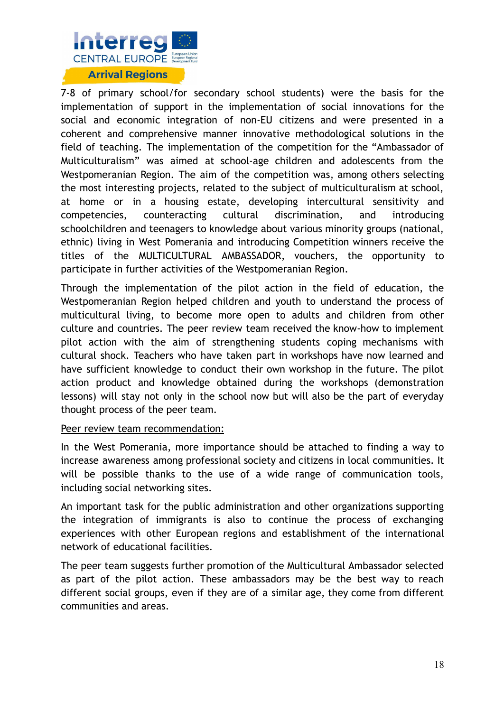

7-8 of primary school/for secondary school students) were the basis for the implementation of support in the implementation of social innovations for the social and economic integration of non-EU citizens and were presented in a coherent and comprehensive manner innovative methodological solutions in the field of teaching. The implementation of the competition for the "Ambassador of Multiculturalism" was aimed at school-age children and adolescents from the Westpomeranian Region. The aim of the competition was, among others selecting the most interesting projects, related to the subject of multiculturalism at school, at home or in a housing estate, developing intercultural sensitivity and competencies, counteracting cultural discrimination, and introducing schoolchildren and teenagers to knowledge about various minority groups (national, ethnic) living in West Pomerania and introducing Competition winners receive the titles of the MULTICULTURAL AMBASSADOR, vouchers, the opportunity to participate in further activities of the Westpomeranian Region.

Through the implementation of the pilot action in the field of education, the Westpomeranian Region helped children and youth to understand the process of multicultural living, to become more open to adults and children from other culture and countries. The peer review team received the know-how to implement pilot action with the aim of strengthening students coping mechanisms with cultural shock. Teachers who have taken part in workshops have now learned and have sufficient knowledge to conduct their own workshop in the future. The pilot action product and knowledge obtained during the workshops (demonstration lessons) will stay not only in the school now but will also be the part of everyday thought process of the peer team.

#### Peer review team recommendation:

In the West Pomerania, more importance should be attached to finding a way to increase awareness among professional society and citizens in local communities. It will be possible thanks to the use of a wide range of communication tools, including social networking sites.

An important task for the public administration and other organizations supporting the integration of immigrants is also to continue the process of exchanging experiences with other European regions and establishment of the international network of educational facilities.

The peer team suggests further promotion of the Multicultural Ambassador selected as part of the pilot action. These ambassadors may be the best way to reach different social groups, even if they are of a similar age, they come from different communities and areas.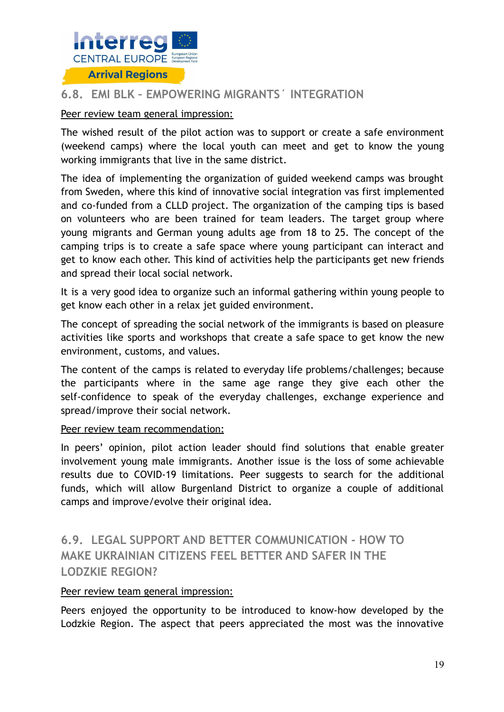

### <span id="page-18-0"></span>**6.8. EMI BLK – EMPOWERING MIGRANTS´ INTEGRATION**

#### Peer review team general impression:

The wished result of the pilot action was to support or create a safe environment (weekend camps) where the local youth can meet and get to know the young working immigrants that live in the same district.

The idea of implementing the organization of guided weekend camps was brought from Sweden, where this kind of innovative social integration vas first implemented and co-funded from a CLLD project. The organization of the camping tips is based on volunteers who are been trained for team leaders. The target group where young migrants and German young adults age from 18 to 25. The concept of the camping trips is to create a safe space where young participant can interact and get to know each other. This kind of activities help the participants get new friends and spread their local social network.

It is a very good idea to organize such an informal gathering within young people to get know each other in a relax jet guided environment.

The concept of spreading the social network of the immigrants is based on pleasure activities like sports and workshops that create a safe space to get know the new environment, customs, and values.

The content of the camps is related to everyday life problems/challenges; because the participants where in the same age range they give each other the self-confidence to speak of the everyday challenges, exchange experience and spread/improve their social network.

#### Peer review team recommendation:

In peers' opinion, pilot action leader should find solutions that enable greater involvement young male immigrants. Another issue is the loss of some achievable results due to COVID-19 limitations. Peer suggests to search for the additional funds, which will allow Burgenland District to organize a couple of additional camps and improve/evolve their original idea.

### **6.9. LEGAL SUPPORT AND BETTER COMMUNICATION - HOW TO MAKE UKRAINIAN CITIZENS FEEL BETTER AND SAFER IN THE LODZKIE REGION?**

#### <span id="page-18-1"></span>Peer review team general impression:

Peers enjoyed the opportunity to be introduced to know-how developed by the Lodzkie Region. The aspect that peers appreciated the most was the innovative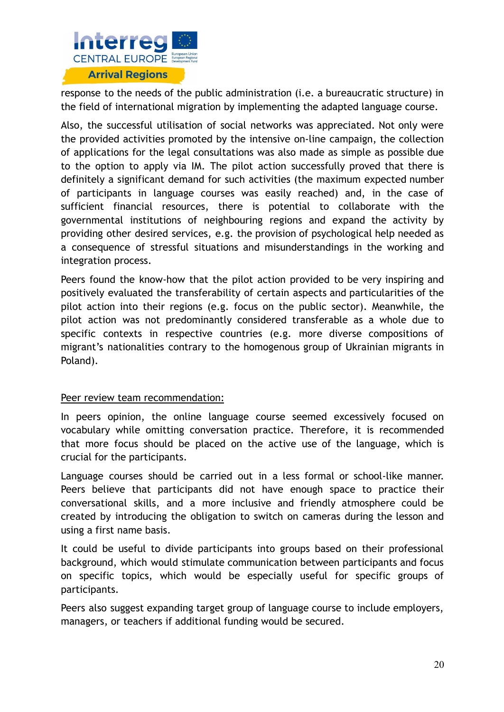

response to the needs of the public administration (i.e. a bureaucratic structure) in the field of international migration by implementing the adapted language course.

Also, the successful utilisation of social networks was appreciated. Not only were the provided activities promoted by the intensive on-line campaign, the collection of applications for the legal consultations was also made as simple as possible due to the option to apply via IM. The pilot action successfully proved that there is definitely a significant demand for such activities (the maximum expected number of participants in language courses was easily reached) and, in the case of sufficient financial resources, there is potential to collaborate with the governmental institutions of neighbouring regions and expand the activity by providing other desired services, e.g. the provision of psychological help needed as a consequence of stressful situations and misunderstandings in the working and integration process.

Peers found the know-how that the pilot action provided to be very inspiring and positively evaluated the transferability of certain aspects and particularities of the pilot action into their regions (e.g. focus on the public sector). Meanwhile, the pilot action was not predominantly considered transferable as a whole due to specific contexts in respective countries (e.g. more diverse compositions of migrant's nationalities contrary to the homogenous group of Ukrainian migrants in Poland).

#### Peer review team recommendation:

In peers opinion, the online language course seemed excessively focused on vocabulary while omitting conversation practice. Therefore, it is recommended that more focus should be placed on the active use of the language, which is crucial for the participants.

Language courses should be carried out in a less formal or school-like manner. Peers believe that participants did not have enough space to practice their conversational skills, and a more inclusive and friendly atmosphere could be created by introducing the obligation to switch on cameras during the lesson and using a first name basis.

It could be useful to divide participants into groups based on their professional background, which would stimulate communication between participants and focus on specific topics, which would be especially useful for specific groups of participants.

Peers also suggest expanding target group of language course to include employers, managers, or teachers if additional funding would be secured.